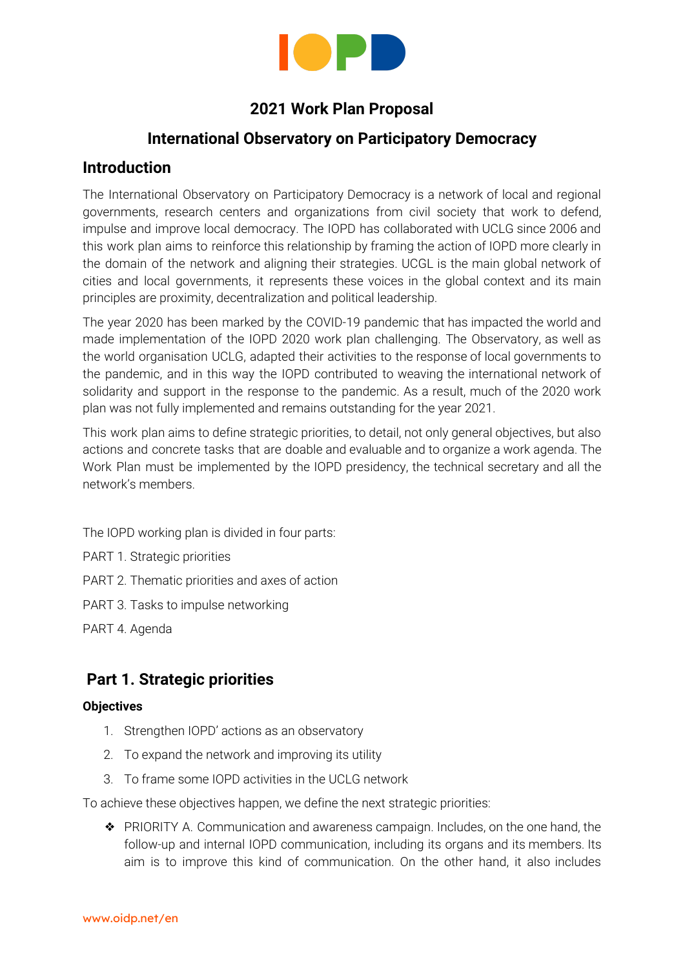

# **2021 Work Plan Proposal**

## **International Observatory on Participatory Democracy**

### **Introduction**

The International Observatory on Participatory Democracy is a network of local and regional governments, research centers and organizations from civil society that work to defend, impulse and improve local democracy. The IOPD has collaborated with UCLG since 2006 and this work plan aims to reinforce this relationship by framing the action of IOPD more clearly in the domain of the network and aligning their strategies. UCGL is the main global network of cities and local governments, it represents these voices in the global context and its main principles are proximity, decentralization and political leadership.

The year 2020 has been marked by the COVID-19 pandemic that has impacted the world and made implementation of the IOPD 2020 work plan challenging. The Observatory, as well as the world organisation UCLG, adapted their activities to the response of local governments to the pandemic, and in this way the IOPD contributed to weaving the international network of solidarity and support in the response to the pandemic. As a result, much of the 2020 work plan was not fully implemented and remains outstanding for the year 2021.

This work plan aims to define strategic priorities, to detail, not only general objectives, but also actions and concrete tasks that are doable and evaluable and to organize a work agenda. The Work Plan must be implemented by the IOPD presidency, the technical secretary and all the network's members.

The IOPD working plan is divided in four parts:

- PART 1. Strategic priorities
- PART 2. Thematic priorities and axes of action
- PART 3. Tasks to impulse networking
- PART 4. Agenda

# **Part 1. Strategic priorities**

#### **Objectives**

- 1. Strengthen IOPD' actions as an observatory
- 2. To expand the network and improving its utility
- 3. To frame some IOPD activities in the UCLG network

To achieve these objectives happen, we define the next strategic priorities:

❖ PRIORITY A. Communication and awareness campaign. Includes, on the one hand, the follow-up and internal IOPD communication, including its organs and its members. Its aim is to improve this kind of communication. On the other hand, it also includes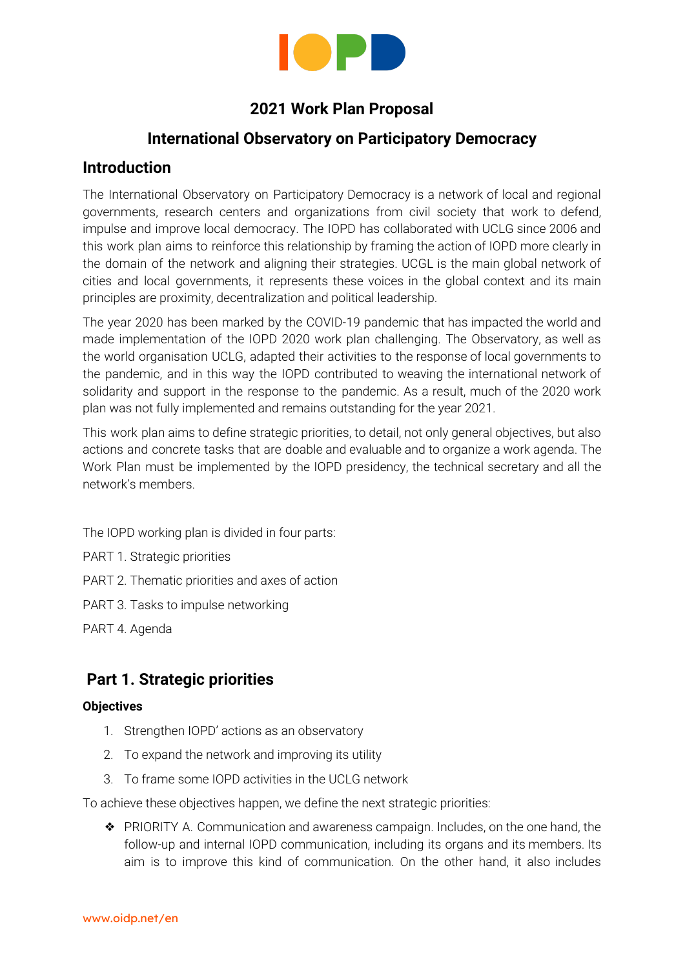

external communication and awareness raising. Here the priority is to make IOPD activities more visible, to raise awareness among the general public about the importance of participatory democracy and to share the existing participatory experiences.

- ❖ PRIORITY B. Evaluation of practices. This kind of action has always been present in the IOPD and some activities have been developed along these lines, such as the Best Practice Awards. This kind of action would now be one of the four IOPD priorities as an observatory. The aim is for it to become not only a repository of experiences and a space for exchange, but also a tool for the promotion of the quality of participatory democracy, through the development of new actions.
- ❖ PRIORITY C. Strengthening: growing the network. This priority includes the identification of criteria to widen the network, like e.g. the kind of organisation/institution, the geographical location, etc. In addition, it includes the inclusion of new types of members, like for example social movements and informal platforms. Strengthening the network: to get new promoter members, governments or organizations that would co-leading the network
- ❖ PRIORITY D. Learning: decentralised cooperation. It is a priority not only to promote the growth of the network, but also to improve the quality of exchanges between members to incentivise decentralised learning.

## **Part 2. Thematic priorities and axes of action**

Democracy is in crisis in many countries according to a broad consensus with a peak of populist political parties, disminution of electoral participation and according to the trust indicators towards political parties and institutions.

On the other hand, the emergence of new forms of participation and political mobilizations are channeled through communication technologies. These same experts don't agree on the causes or possible solutions to the challenges our societies are facing. Local governments have a key role in developing democratic innovations, in carrying out public policies that strengthen social and community ties and in defending human rights. The IOPD considers this local governments' role and wants to contribute to weaving this network of cities and municipalities that work in promoting, defending and increasing local democracy. The [agenda](https://www.oidp.net/docs/repo/doc458.pdf) for local [democracy](https://www.oidp.net/docs/repo/doc458.pdf) is the IOPD reference guide for local governments to develop democracy.

Regarding the thematic priorities, we must promote a set of actions that we will develop in the 3rd part. To organize seminars or thematic sessions (task 9), commision of a study and make publications (task 12).

#### **Thematic priorities for 2021:**

The 2021 General Assembly defined as thematic priorities for the work of the technical secretariat in 2020: "the role of citizen participation in climate change mitigation" and the "gender perspective in citizen participation". In line with the aforementioned, and with the agreement of the coordination committee, these priorities have been extended to 2021.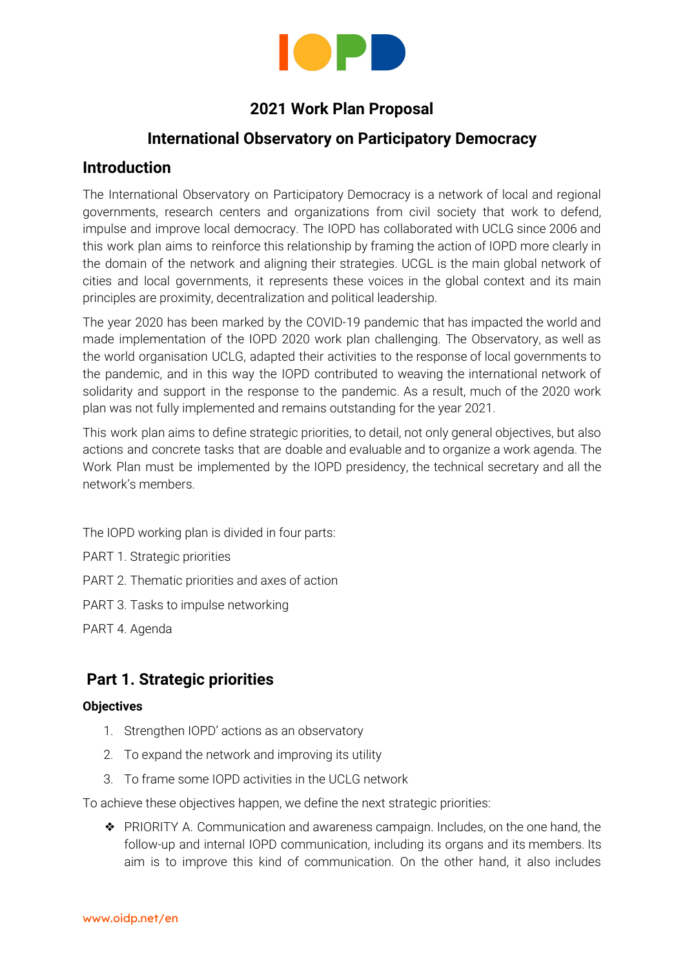

Other priorities thematic will be:

- Participatory budgeting for the youth, youth citizen participation
- Legal frameworks to institutionalize participatory policies in Local Governments.
- Local democracy mechanisms regarding the diversity of people through sortition,
- Democratic innovations through ICTs.

# **Part 3. Tasks to impulse networking**

| <b>PRIORITY A. Communication and awareness campaign</b> |                                                                                                                                                                                                                                                                                                                                                                                                                                    |  |
|---------------------------------------------------------|------------------------------------------------------------------------------------------------------------------------------------------------------------------------------------------------------------------------------------------------------------------------------------------------------------------------------------------------------------------------------------------------------------------------------------|--|
| Internal communication                                  |                                                                                                                                                                                                                                                                                                                                                                                                                                    |  |
| Task 1                                                  | Diagnose of the existing communication mechanisms with members and<br>proposal of new mechanisms in order to maintain permanent channels of<br>exchange with them.                                                                                                                                                                                                                                                                 |  |
| Task 2                                                  | Administration of the email account                                                                                                                                                                                                                                                                                                                                                                                                |  |
| Task 3                                                  | Update on activities and events, both to members and to the political<br>representatives in the internal IOPD organs                                                                                                                                                                                                                                                                                                               |  |
| External communication                                  |                                                                                                                                                                                                                                                                                                                                                                                                                                    |  |
| Task 4                                                  | Repository of experiences<br>a. Establishment of new criteria to systematise information about existing<br>experiences, according to topics (currently, they are only classified by<br>country)<br>b. Reflect upon the added value of this repository, compared to others<br>Active search of new experiences, activating the network<br>C.<br>Co-production of the description of experiences, jointly with local<br>d.<br>actors |  |
| Task 5                                                  | Maintenance and update of the website and social media                                                                                                                                                                                                                                                                                                                                                                             |  |
| Task 6                                                  | Publication of reports (related to tasks 10 and 11)<br>a. Publication of the annual report (coinciding with the annual conference)<br>Publication of special reports<br>b.                                                                                                                                                                                                                                                         |  |
| Task 7                                                  | Support to the communication of the annual conference                                                                                                                                                                                                                                                                                                                                                                              |  |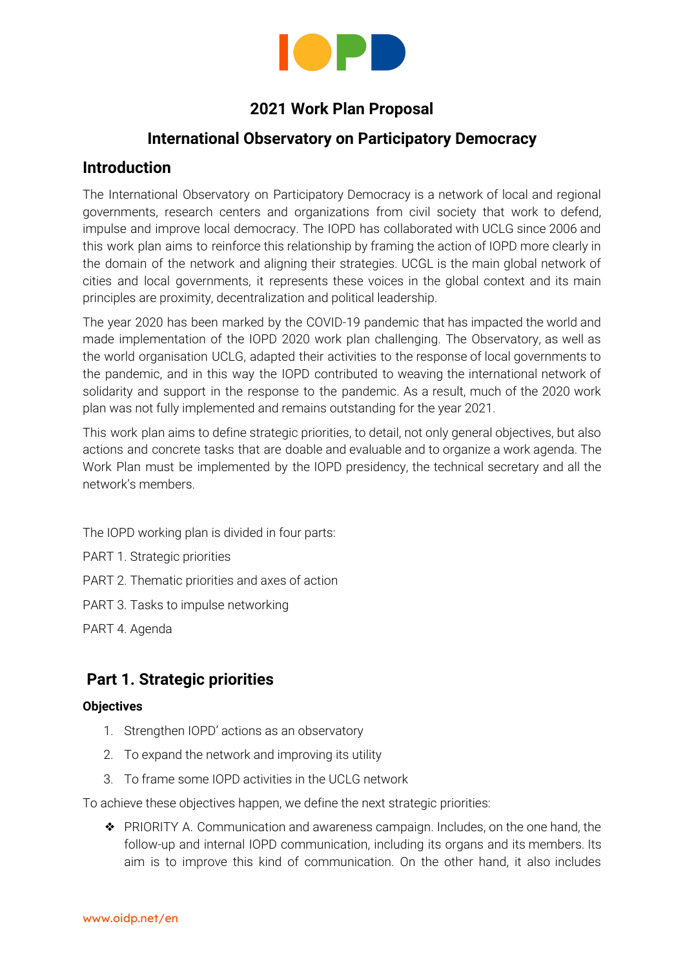

| Task 8 | Organization of three international events (according to priority contents, task<br>19) |
|--------|-----------------------------------------------------------------------------------------|
| Task 9 | Participation in international events jointly with UCLG                                 |

| <b>PRIORITY B. Evaluation of practices</b> |                                                                                                                   |  |
|--------------------------------------------|-------------------------------------------------------------------------------------------------------------------|--|
| Task 10                                    | Participation in the CGLU - International IDEA's project about the state of local<br>democracy in the world.      |  |
| Task 11                                    | Special reports                                                                                                   |  |
|                                            | Fundraising<br>a.                                                                                                 |  |
|                                            | Assignment (in relation to the priority contents)<br>b.                                                           |  |
|                                            | Production of the report<br>C.                                                                                    |  |
| Task 12                                    | <b>Best Practice Awards</b>                                                                                       |  |
|                                            | Review of the criteria and process for the award<br>a.                                                            |  |
|                                            | b. Call for candidacies                                                                                           |  |
|                                            | Applications and selection process<br>C.                                                                          |  |
|                                            | Publication of results<br>d.                                                                                      |  |
|                                            | To look for funds in order to offer a monetary award<br>$e_{1}$                                                   |  |
| Task 13                                    | Coordination of mutual evaluation mechanisms (between members)                                                    |  |
|                                            | Josh Lerner:                                                                                                      |  |
|                                            | We could support this work through the new People Powered network, which has<br>a focus on research coordination. |  |
|                                            | Other cases may be considered.                                                                                    |  |

| <b>PRIORITY C: Strengthen: widening the network</b> |                                                                                            |  |
|-----------------------------------------------------|--------------------------------------------------------------------------------------------|--|
|                                                     | Task 14   Clean up of the current list of members (previous contact with inactive members) |  |
| Task 15                                             | Identification of strategic criteria for the addition of new members                       |  |